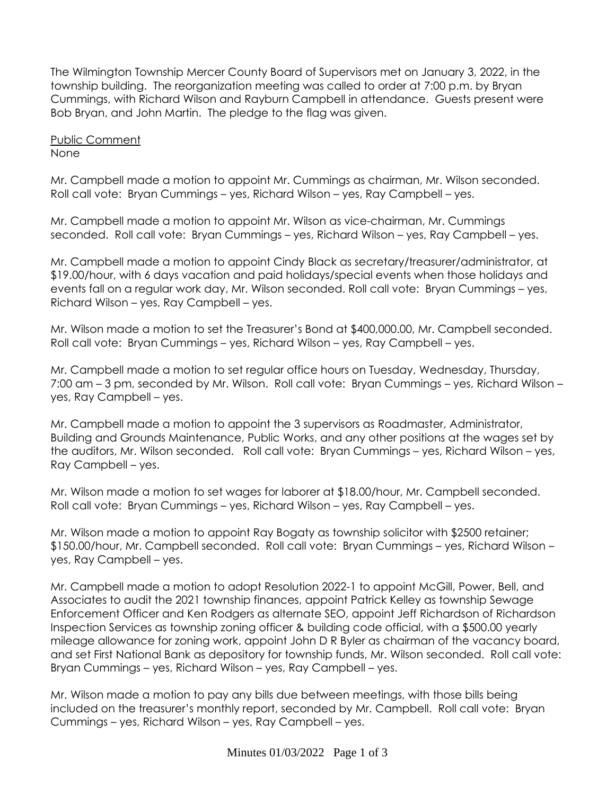The Wilmington Township Mercer County Board of Supervisors met on January 3, 2022, in the township building. The reorganization meeting was called to order at 7:00 p.m. by Bryan Cummings, with Richard Wilson and Rayburn Campbell in attendance. Guests present were Bob Bryan, and John Martin. The pledge to the flag was given.

Public Comment None

Mr. Campbell made a motion to appoint Mr. Cummings as chairman, Mr. Wilson seconded. Roll call vote: Bryan Cummings – yes, Richard Wilson – yes, Ray Campbell – yes.

Mr. Campbell made a motion to appoint Mr. Wilson as vice-chairman, Mr. Cummings seconded. Roll call vote: Bryan Cummings – yes, Richard Wilson – yes, Ray Campbell – yes.

Mr. Campbell made a motion to appoint Cindy Black as secretary/treasurer/administrator, at \$19.00/hour, with 6 days vacation and paid holidays/special events when those holidays and events fall on a regular work day, Mr. Wilson seconded. Roll call vote: Bryan Cummings – yes, Richard Wilson – yes, Ray Campbell – yes.

Mr. Wilson made a motion to set the Treasurer's Bond at \$400,000.00, Mr. Campbell seconded. Roll call vote: Bryan Cummings – yes, Richard Wilson – yes, Ray Campbell – yes.

Mr. Campbell made a motion to set regular office hours on Tuesday, Wednesday, Thursday, 7:00 am – 3 pm, seconded by Mr. Wilson. Roll call vote: Bryan Cummings – yes, Richard Wilson – yes, Ray Campbell – yes.

Mr. Campbell made a motion to appoint the 3 supervisors as Roadmaster, Administrator, Building and Grounds Maintenance, Public Works, and any other positions at the wages set by the auditors, Mr. Wilson seconded. Roll call vote: Bryan Cummings – yes, Richard Wilson – yes, Ray Campbell – yes.

Mr. Wilson made a motion to set wages for laborer at \$18.00/hour, Mr. Campbell seconded. Roll call vote: Bryan Cummings – yes, Richard Wilson – yes, Ray Campbell – yes.

Mr. Wilson made a motion to appoint Ray Bogaty as township solicitor with \$2500 retainer; \$150.00/hour, Mr. Campbell seconded. Roll call vote: Bryan Cummings – yes, Richard Wilson – yes, Ray Campbell – yes.

Mr. Campbell made a motion to adopt Resolution 2022-1 to appoint McGill, Power, Bell, and Associates to audit the 2021 township finances, appoint Patrick Kelley as township Sewage Enforcement Officer and Ken Rodgers as alternate SEO, appoint Jeff Richardson of Richardson Inspection Services as township zoning officer & building code official, with a \$500.00 yearly mileage allowance for zoning work, appoint John D R Byler as chairman of the vacancy board, and set First National Bank as depository for township funds, Mr. Wilson seconded. Roll call vote: Bryan Cummings – yes, Richard Wilson – yes, Ray Campbell – yes.

Mr. Wilson made a motion to pay any bills due between meetings, with those bills being included on the treasurer's monthly report, seconded by Mr. Campbell. Roll call vote: Bryan Cummings – yes, Richard Wilson – yes, Ray Campbell – yes.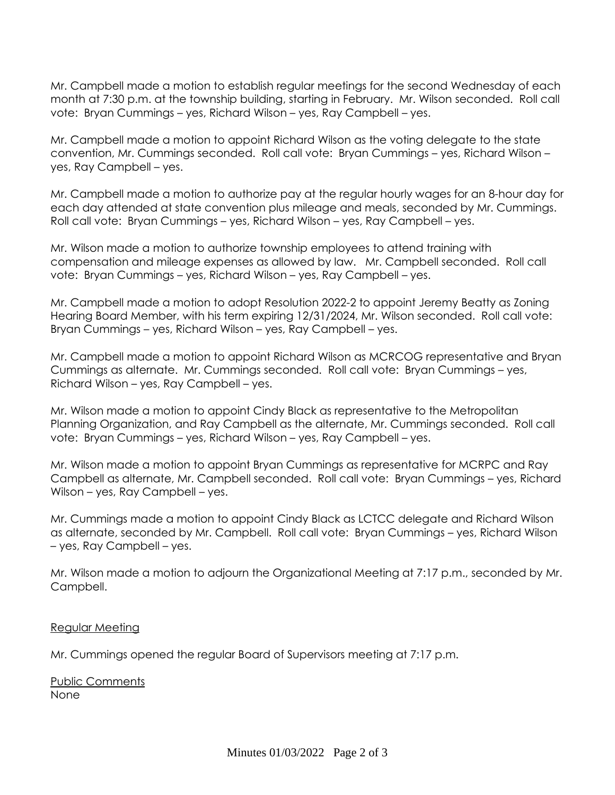Mr. Campbell made a motion to establish regular meetings for the second Wednesday of each month at 7:30 p.m. at the township building, starting in February. Mr. Wilson seconded. Roll call vote: Bryan Cummings – yes, Richard Wilson – yes, Ray Campbell – yes.

Mr. Campbell made a motion to appoint Richard Wilson as the voting delegate to the state convention, Mr. Cummings seconded. Roll call vote: Bryan Cummings – yes, Richard Wilson – yes, Ray Campbell – yes.

Mr. Campbell made a motion to authorize pay at the regular hourly wages for an 8-hour day for each day attended at state convention plus mileage and meals, seconded by Mr. Cummings. Roll call vote: Bryan Cummings – yes, Richard Wilson – yes, Ray Campbell – yes.

Mr. Wilson made a motion to authorize township employees to attend training with compensation and mileage expenses as allowed by law. Mr. Campbell seconded. Roll call vote: Bryan Cummings – yes, Richard Wilson – yes, Ray Campbell – yes.

Mr. Campbell made a motion to adopt Resolution 2022-2 to appoint Jeremy Beatty as Zoning Hearing Board Member, with his term expiring 12/31/2024, Mr. Wilson seconded. Roll call vote: Bryan Cummings – yes, Richard Wilson – yes, Ray Campbell – yes.

Mr. Campbell made a motion to appoint Richard Wilson as MCRCOG representative and Bryan Cummings as alternate. Mr. Cummings seconded. Roll call vote: Bryan Cummings – yes, Richard Wilson – yes, Ray Campbell – yes.

Mr. Wilson made a motion to appoint Cindy Black as representative to the Metropolitan Planning Organization, and Ray Campbell as the alternate, Mr. Cummings seconded. Roll call vote: Bryan Cummings – yes, Richard Wilson – yes, Ray Campbell – yes.

Mr. Wilson made a motion to appoint Bryan Cummings as representative for MCRPC and Ray Campbell as alternate, Mr. Campbell seconded. Roll call vote: Bryan Cummings – yes, Richard Wilson – yes, Ray Campbell – yes.

Mr. Cummings made a motion to appoint Cindy Black as LCTCC delegate and Richard Wilson as alternate, seconded by Mr. Campbell. Roll call vote: Bryan Cummings – yes, Richard Wilson – yes, Ray Campbell – yes.

Mr. Wilson made a motion to adjourn the Organizational Meeting at 7:17 p.m., seconded by Mr. Campbell.

# Regular Meeting

Mr. Cummings opened the regular Board of Supervisors meeting at 7:17 p.m.

Public Comments None